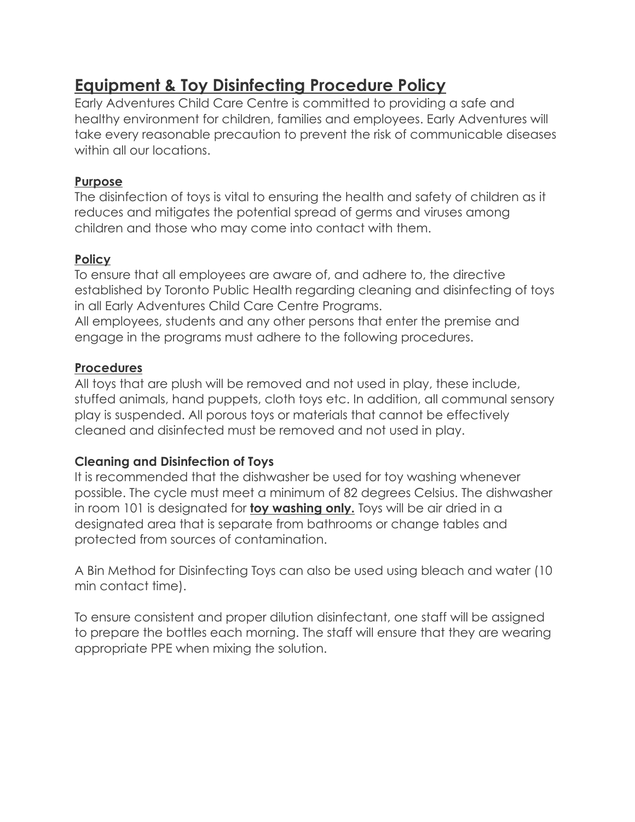# **Equipment & Toy Disinfecting Procedure Policy**

Early Adventures Child Care Centre is committed to providing a safe and healthy environment for children, families and employees. Early Adventures will take every reasonable precaution to prevent the risk of communicable diseases within all our locations.

### **Purpose**

The disinfection of toys is vital to ensuring the health and safety of children as it reduces and mitigates the potential spread of germs and viruses among children and those who may come into contact with them.

### **Policy**

To ensure that all employees are aware of, and adhere to, the directive established by Toronto Public Health regarding cleaning and disinfecting of toys in all Early Adventures Child Care Centre Programs.

All employees, students and any other persons that enter the premise and engage in the programs must adhere to the following procedures.

### **Procedures**

All toys that are plush will be removed and not used in play, these include, stuffed animals, hand puppets, cloth toys etc. In addition, all communal sensory play is suspended. All porous toys or materials that cannot be effectively cleaned and disinfected must be removed and not used in play.

### **Cleaning and Disinfection of Toys**

It is recommended that the dishwasher be used for toy washing whenever possible. The cycle must meet a minimum of 82 degrees Celsius. The dishwasher in room 101 is designated for **toy washing only.** Toys will be air dried in a designated area that is separate from bathrooms or change tables and protected from sources of contamination.

A Bin Method for Disinfecting Toys can also be used using bleach and water (10 min contact time).

To ensure consistent and proper dilution disinfectant, one staff will be assigned to prepare the bottles each morning. The staff will ensure that they are wearing appropriate PPE when mixing the solution.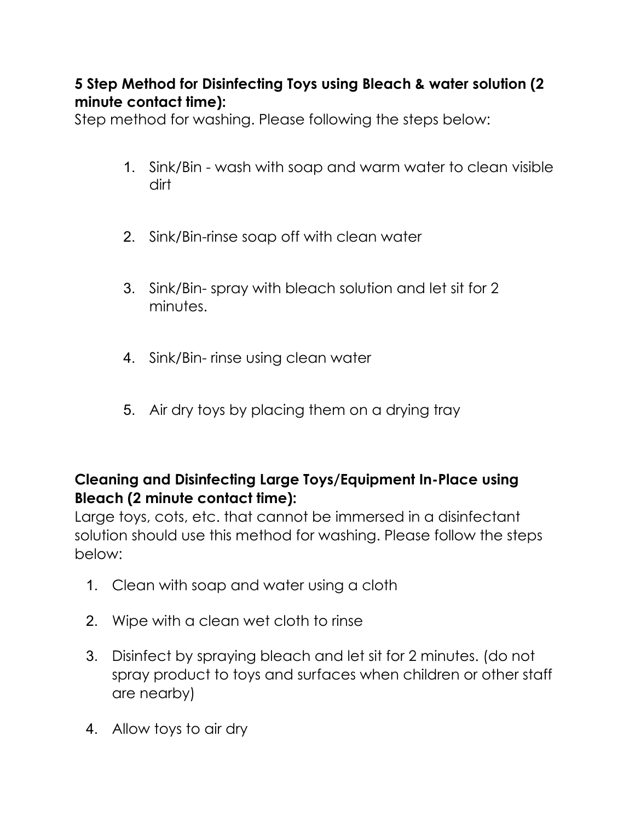## **5 Step Method for Disinfecting Toys using Bleach & water solution (2 minute contact time):**

Step method for washing. Please following the steps below:

- 1. Sink/Bin wash with soap and warm water to clean visible dirt
- 2. Sink/Bin-rinse soap off with clean water
- 3. Sink/Bin- spray with bleach solution and let sit for 2 minutes.
- 4. Sink/Bin- rinse using clean water
- 5. Air dry toys by placing them on a drying tray

# **Cleaning and Disinfecting Large Toys/Equipment In-Place using Bleach (2 minute contact time):**

Large toys, cots, etc. that cannot be immersed in a disinfectant solution should use this method for washing. Please follow the steps below:

- 1. Clean with soap and water using a cloth
- 2. Wipe with a clean wet cloth to rinse
- 3. Disinfect by spraying bleach and let sit for 2 minutes. (do not spray product to toys and surfaces when children or other staff are nearby)
- 4. Allow toys to air dry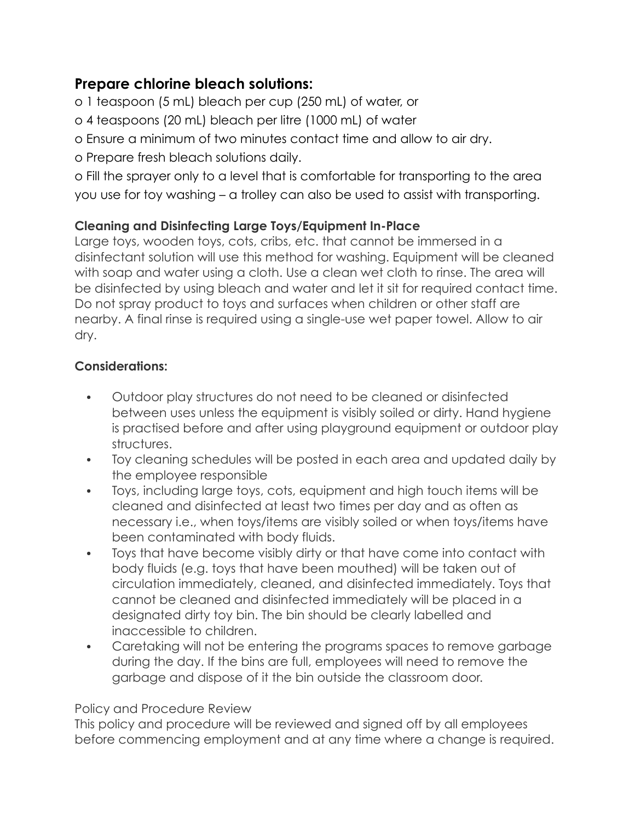### **Prepare chlorine bleach solutions:**

- o 1 teaspoon (5 mL) bleach per cup (250 mL) of water, or
- o 4 teaspoons (20 mL) bleach per litre (1000 mL) of water
- o Ensure a minimum of two minutes contact time and allow to air dry.
- o Prepare fresh bleach solutions daily.

o Fill the sprayer only to a level that is comfortable for transporting to the area you use for toy washing – a trolley can also be used to assist with transporting.

### **Cleaning and Disinfecting Large Toys/Equipment In-Place**

Large toys, wooden toys, cots, cribs, etc. that cannot be immersed in a disinfectant solution will use this method for washing. Equipment will be cleaned with soap and water using a cloth. Use a clean wet cloth to rinse. The area will be disinfected by using bleach and water and let it sit for required contact time. Do not spray product to toys and surfaces when children or other staff are nearby. A final rinse is required using a single-use wet paper towel. Allow to air dry.

### **Considerations:**

- Outdoor play structures do not need to be cleaned or disinfected between uses unless the equipment is visibly soiled or dirty. Hand hygiene is practised before and after using playground equipment or outdoor play structures.
- Toy cleaning schedules will be posted in each area and updated daily by the employee responsible
- Toys, including large toys, cots, equipment and high touch items will be cleaned and disinfected at least two times per day and as often as necessary i.e., when toys/items are visibly soiled or when toys/items have been contaminated with body fluids.
- Toys that have become visibly dirty or that have come into contact with body fluids (e.g. toys that have been mouthed) will be taken out of circulation immediately, cleaned, and disinfected immediately. Toys that cannot be cleaned and disinfected immediately will be placed in a designated dirty toy bin. The bin should be clearly labelled and inaccessible to children.
- Caretaking will not be entering the programs spaces to remove garbage during the day. If the bins are full, employees will need to remove the garbage and dispose of it the bin outside the classroom door.

### Policy and Procedure Review

This policy and procedure will be reviewed and signed off by all employees before commencing employment and at any time where a change is required.